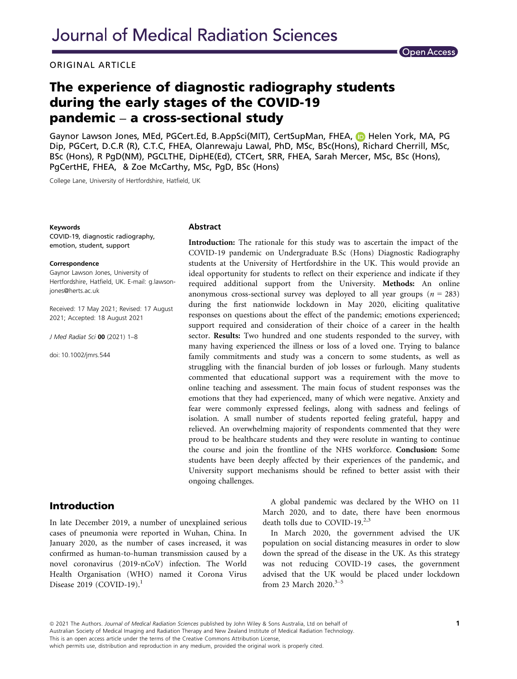### ORIGINAL ARTICLE



# The experience of diagnostic radiography students during the early stages of the COVID-19 pandemic – a cross-sectional study

Gaynor Lawson Jones, MEd, PGCert.Ed, B.AppSci(MIT), CertSupMan, FHEA, **ID** Helen York, MA, PG Dip, PGCert, D.C.R (R), C.T.C, FHEA, Olanrewaju Lawal, PhD, MSc, BSc(Hons), Richard Cherrill, MSc, BSc (Hons), R PgD(NM), PGCLTHE, DipHE(Ed), CTCert, SRR, FHEA, Sarah Mercer, MSc, BSc (Hons), PgCertHE, FHEA, & Zoe McCarthy, MSc, PgD, BSc (Hons)

College Lane, University of Hertfordshire, Hatfield, UK

#### Keywords

COVID-19, diagnostic radiography, emotion, student, support

#### **Correspondence**

Gaynor Lawson Jones, University of Hertfordshire, Hatfield, UK. E-mail: [g.lawson](mailto:)[jones@herts.ac.uk](mailto:)

Received: 17 May 2021; Revised: 17 August 2021; Accepted: 18 August 2021

J Med Radiat Sci 00 (2021) 1–8

doi: 10.1002/jmrs.544

#### Abstract

Introduction: The rationale for this study was to ascertain the impact of the COVID-19 pandemic on Undergraduate B.Sc (Hons) Diagnostic Radiography students at the University of Hertfordshire in the UK. This would provide an ideal opportunity for students to reflect on their experience and indicate if they required additional support from the University. Methods: An online anonymous cross-sectional survey was deployed to all year groups ( $n = 283$ ) during the first nationwide lockdown in May 2020, eliciting qualitative responses on questions about the effect of the pandemic; emotions experienced; support required and consideration of their choice of a career in the health sector. Results: Two hundred and one students responded to the survey, with many having experienced the illness or loss of a loved one. Trying to balance family commitments and study was a concern to some students, as well as struggling with the financial burden of job losses or furlough. Many students commented that educational support was a requirement with the move to online teaching and assessment. The main focus of student responses was the emotions that they had experienced, many of which were negative. Anxiety and fear were commonly expressed feelings, along with sadness and feelings of isolation. A small number of students reported feeling grateful, happy and relieved. An overwhelming majority of respondents commented that they were proud to be healthcare students and they were resolute in wanting to continue the course and join the frontline of the NHS workforce. Conclusion: Some students have been deeply affected by their experiences of the pandemic, and University support mechanisms should be refined to better assist with their ongoing challenges.

## Introduction

In late December 2019, a number of unexplained serious cases of pneumonia were reported in Wuhan, China. In January 2020, as the number of cases increased, it was confirmed as human-to-human transmission caused by a novel coronavirus (2019-nCoV) infection. The World Health Organisation (WHO) named it Corona Virus Disease 2019 (COVID-19).<sup>1</sup>

A global pandemic was declared by the WHO on 11 March 2020, and to date, there have been enormous death tolls due to COVID-19.<sup>2,3</sup>

In March 2020, the government advised the UK population on social distancing measures in order to slow down the spread of the disease in the UK. As this strategy was not reducing COVID-19 cases, the government advised that the UK would be placed under lockdown from 23 March 2020. $3-5$ 

ª 2021 The Authors. Journal of Medical Radiation Sciences published by John Wiley & Sons Australia, Ltd on behalf of Australian Society of Medical Imaging and Radiation Therapy and New Zealand Institute of Medical Radiation Technology. This is an open access article under the terms of the [Creative Commons Attribution](http://creativecommons.org/licenses/by/4.0/) License,

which permits use, distribution and reproduction in any medium, provided the original work is properly cited.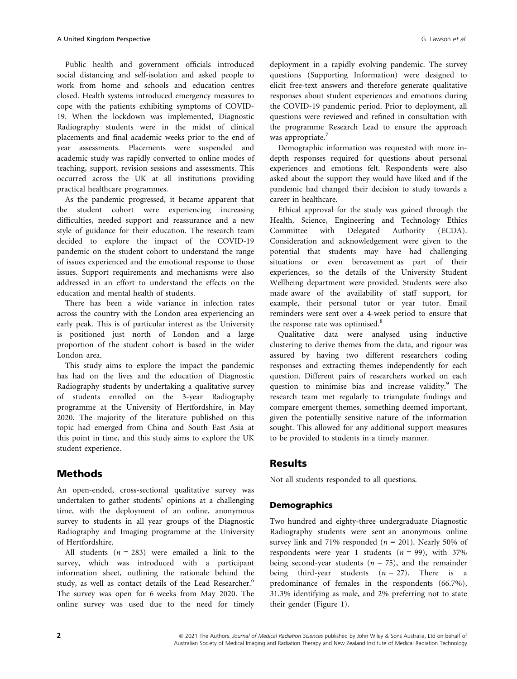Public health and government officials introduced social distancing and self-isolation and asked people to work from home and schools and education centres closed. Health systems introduced emergency measures to cope with the patients exhibiting symptoms of COVID-19. When the lockdown was implemented, Diagnostic Radiography students were in the midst of clinical placements and final academic weeks prior to the end of year assessments. Placements were suspended and academic study was rapidly converted to online modes of teaching, support, revision sessions and assessments. This occurred across the UK at all institutions providing practical healthcare programmes.

As the pandemic progressed, it became apparent that the student cohort were experiencing increasing difficulties, needed support and reassurance and a new style of guidance for their education. The research team decided to explore the impact of the COVID-19 pandemic on the student cohort to understand the range of issues experienced and the emotional response to those issues. Support requirements and mechanisms were also addressed in an effort to understand the effects on the education and mental health of students.

There has been a wide variance in infection rates across the country with the London area experiencing an early peak. This is of particular interest as the University is positioned just north of London and a large proportion of the student cohort is based in the wider London area.

This study aims to explore the impact the pandemic has had on the lives and the education of Diagnostic Radiography students by undertaking a qualitative survey of students enrolled on the 3-year Radiography programme at the University of Hertfordshire, in May 2020. The majority of the literature published on this topic had emerged from China and South East Asia at this point in time, and this study aims to explore the UK student experience.

## Methods

An open-ended, cross-sectional qualitative survey was undertaken to gather students' opinions at a challenging time, with the deployment of an online, anonymous survey to students in all year groups of the Diagnostic Radiography and Imaging programme at the University of Hertfordshire.

All students ( $n = 283$ ) were emailed a link to the survey, which was introduced with a participant information sheet, outlining the rationale behind the study, as well as contact details of the Lead Researcher.<sup>6</sup> The survey was open for 6 weeks from May 2020. The online survey was used due to the need for timely deployment in a rapidly evolving pandemic. The survey questions (Supporting Information) were designed to elicit free-text answers and therefore generate qualitative responses about student experiences and emotions during the COVID-19 pandemic period. Prior to deployment, all questions were reviewed and refined in consultation with the programme Research Lead to ensure the approach was appropriate.<sup>7</sup>

Demographic information was requested with more indepth responses required for questions about personal experiences and emotions felt. Respondents were also asked about the support they would have liked and if the pandemic had changed their decision to study towards a career in healthcare.

Ethical approval for the study was gained through the Health, Science, Engineering and Technology Ethics Committee with Delegated Authority (ECDA). Consideration and acknowledgement were given to the potential that students may have had challenging situations or even bereavement as part of their experiences, so the details of the University Student Wellbeing department were provided. Students were also made aware of the availability of staff support, for example, their personal tutor or year tutor. Email reminders were sent over a 4-week period to ensure that the response rate was optimised.<sup>8</sup>

Qualitative data were analysed using inductive clustering to derive themes from the data, and rigour was assured by having two different researchers coding responses and extracting themes independently for each question. Different pairs of researchers worked on each question to minimise bias and increase validity.<sup>9</sup> The research team met regularly to triangulate findings and compare emergent themes, something deemed important, given the potentially sensitive nature of the information sought. This allowed for any additional support measures to be provided to students in a timely manner.

## Results

Not all students responded to all questions.

### **Demographics**

Two hundred and eighty-three undergraduate Diagnostic Radiography students were sent an anonymous online survey link and 71% responded ( $n = 201$ ). Nearly 50% of respondents were year 1 students ( $n = 99$ ), with 37% being second-year students ( $n = 75$ ), and the remainder being third-year students  $(n = 27)$ . There is a predominance of females in the respondents (66.7%), 31.3% identifying as male, and 2% preferring not to state their gender (Figure 1).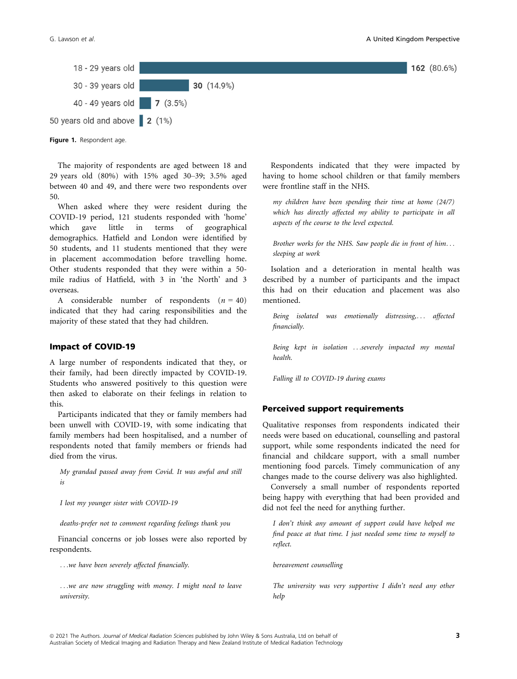



Figure 1. Respondent age.

The majority of respondents are aged between 18 and 29 years old (80%) with 15% aged 30–39; 3.5% aged between 40 and 49, and there were two respondents over 50.

When asked where they were resident during the COVID-19 period, 121 students responded with 'home' which gave little in terms of geographical demographics. Hatfield and London were identified by 50 students, and 11 students mentioned that they were in placement accommodation before travelling home. Other students responded that they were within a 50 mile radius of Hatfield, with 3 in 'the North' and 3 overseas.

A considerable number of respondents  $(n = 40)$ indicated that they had caring responsibilities and the majority of these stated that they had children.

#### Impact of COVID-19

A large number of respondents indicated that they, or their family, had been directly impacted by COVID-19. Students who answered positively to this question were then asked to elaborate on their feelings in relation to this.

Participants indicated that they or family members had been unwell with COVID-19, with some indicating that family members had been hospitalised, and a number of respondents noted that family members or friends had died from the virus.

My grandad passed away from Covid. It was awful and still is

I lost my younger sister with COVID-19

deaths-prefer not to comment regarding feelings thank you

Financial concerns or job losses were also reported by respondents.

...we have been severely affected financially.

...we are now struggling with money. I might need to leave university.

Respondents indicated that they were impacted by having to home school children or that family members were frontline staff in the NHS.

my children have been spending their time at home (24/7) which has directly affected my ability to participate in all aspects of the course to the level expected.

Brother works for the NHS. Saw people die in front of him... sleeping at work

Isolation and a deterioration in mental health was described by a number of participants and the impact this had on their education and placement was also mentioned.

Being isolated was emotionally distressing,... affected financially.

Being kept in isolation ...severely impacted my mental health.

Falling ill to COVID-19 during exams

### Perceived support requirements

Qualitative responses from respondents indicated their needs were based on educational, counselling and pastoral support, while some respondents indicated the need for financial and childcare support, with a small number mentioning food parcels. Timely communication of any changes made to the course delivery was also highlighted.

Conversely a small number of respondents reported being happy with everything that had been provided and did not feel the need for anything further.

I don't think any amount of support could have helped me find peace at that time. I just needed some time to myself to reflect.

bereavement counselling

The university was very supportive I didn't need any other help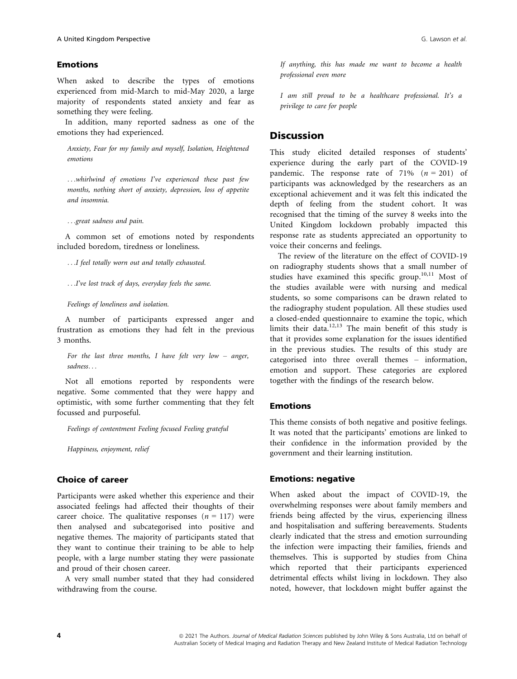### Emotions

When asked to describe the types of emotions experienced from mid-March to mid-May 2020, a large majority of respondents stated anxiety and fear as something they were feeling.

In addition, many reported sadness as one of the emotions they had experienced.

Anxiety, Fear for my family and myself, Isolation, Heightened emotions

...whirlwind of emotions I've experienced these past few months, nothing short of anxiety, depression, loss of appetite and insomnia.

...great sadness and pain.

A common set of emotions noted by respondents included boredom, tiredness or loneliness.

...I feel totally worn out and totally exhausted.

...I've lost track of days, everyday feels the same.

Feelings of loneliness and isolation.

A number of participants expressed anger and frustration as emotions they had felt in the previous 3 months.

For the last three months, I have felt very low  $-$  anger, sadness...

Not all emotions reported by respondents were negative. Some commented that they were happy and optimistic, with some further commenting that they felt focussed and purposeful.

Feelings of contentment Feeling focused Feeling grateful

Happiness, enjoyment, relief

### Choice of career

Participants were asked whether this experience and their associated feelings had affected their thoughts of their career choice. The qualitative responses  $(n = 117)$  were then analysed and subcategorised into positive and negative themes. The majority of participants stated that they want to continue their training to be able to help people, with a large number stating they were passionate and proud of their chosen career.

A very small number stated that they had considered withdrawing from the course.

If anything, this has made me want to become a health professional even more

I am still proud to be a healthcare professional. It's a privilege to care for people

## **Discussion**

This study elicited detailed responses of students' experience during the early part of the COVID-19 pandemic. The response rate of 71%  $(n = 201)$  of participants was acknowledged by the researchers as an exceptional achievement and it was felt this indicated the depth of feeling from the student cohort. It was recognised that the timing of the survey 8 weeks into the United Kingdom lockdown probably impacted this response rate as students appreciated an opportunity to voice their concerns and feelings.

The review of the literature on the effect of COVID-19 on radiography students shows that a small number of studies have examined this specific group.<sup>10,11</sup> Most of the studies available were with nursing and medical students, so some comparisons can be drawn related to the radiography student population. All these studies used a closed-ended questionnaire to examine the topic, which limits their data.<sup>12,13</sup> The main benefit of this study is that it provides some explanation for the issues identified in the previous studies. The results of this study are categorised into three overall themes – information, emotion and support. These categories are explored together with the findings of the research below.

### Emotions

This theme consists of both negative and positive feelings. It was noted that the participants' emotions are linked to their confidence in the information provided by the government and their learning institution.

### Emotions: negative

When asked about the impact of COVID-19, the overwhelming responses were about family members and friends being affected by the virus, experiencing illness and hospitalisation and suffering bereavements. Students clearly indicated that the stress and emotion surrounding the infection were impacting their families, friends and themselves. This is supported by studies from China which reported that their participants experienced detrimental effects whilst living in lockdown. They also noted, however, that lockdown might buffer against the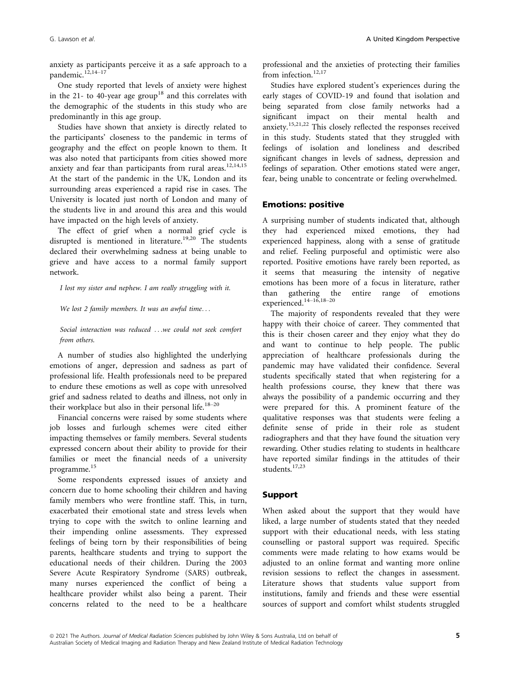anxiety as participants perceive it as a safe approach to a pandemic.<sup>12,14–17</sup>

One study reported that levels of anxiety were highest in the 21- to 40-year age group<sup>18</sup> and this correlates with the demographic of the students in this study who are predominantly in this age group.

Studies have shown that anxiety is directly related to the participants' closeness to the pandemic in terms of geography and the effect on people known to them. It was also noted that participants from cities showed more anxiety and fear than participants from rural areas.<sup>12,14,15</sup> At the start of the pandemic in the UK, London and its surrounding areas experienced a rapid rise in cases. The University is located just north of London and many of the students live in and around this area and this would have impacted on the high levels of anxiety.

The effect of grief when a normal grief cycle is disrupted is mentioned in literature.<sup>19,20</sup> The students declared their overwhelming sadness at being unable to grieve and have access to a normal family support network.

I lost my sister and nephew. I am really struggling with it.

We lost 2 family members. It was an awful time...

Social interaction was reduced ...we could not seek comfort from others.

A number of studies also highlighted the underlying emotions of anger, depression and sadness as part of professional life. Health professionals need to be prepared to endure these emotions as well as cope with unresolved grief and sadness related to deaths and illness, not only in their workplace but also in their personal life.<sup>18-20</sup>

Financial concerns were raised by some students where job losses and furlough schemes were cited either impacting themselves or family members. Several students expressed concern about their ability to provide for their families or meet the financial needs of a university programme.<sup>15</sup>

Some respondents expressed issues of anxiety and concern due to home schooling their children and having family members who were frontline staff. This, in turn, exacerbated their emotional state and stress levels when trying to cope with the switch to online learning and their impending online assessments. They expressed feelings of being torn by their responsibilities of being parents, healthcare students and trying to support the educational needs of their children. During the 2003 Severe Acute Respiratory Syndrome (SARS) outbreak, many nurses experienced the conflict of being a healthcare provider whilst also being a parent. Their concerns related to the need to be a healthcare professional and the anxieties of protecting their families from infection.<sup>12,17</sup>

Studies have explored student's experiences during the early stages of COVID-19 and found that isolation and being separated from close family networks had a significant impact on their mental health and anxiety.15,21,22 This closely reflected the responses received in this study. Students stated that they struggled with feelings of isolation and loneliness and described significant changes in levels of sadness, depression and feelings of separation. Other emotions stated were anger, fear, being unable to concentrate or feeling overwhelmed.

### Emotions: positive

A surprising number of students indicated that, although they had experienced mixed emotions, they had experienced happiness, along with a sense of gratitude and relief. Feeling purposeful and optimistic were also reported. Positive emotions have rarely been reported, as it seems that measuring the intensity of negative emotions has been more of a focus in literature, rather than gathering the entire range of emotions experienced.14–16,18–<sup>20</sup>

The majority of respondents revealed that they were happy with their choice of career. They commented that this is their chosen career and they enjoy what they do and want to continue to help people. The public appreciation of healthcare professionals during the pandemic may have validated their confidence. Several students specifically stated that when registering for a health professions course, they knew that there was always the possibility of a pandemic occurring and they were prepared for this. A prominent feature of the qualitative responses was that students were feeling a definite sense of pride in their role as student radiographers and that they have found the situation very rewarding. Other studies relating to students in healthcare have reported similar findings in the attitudes of their students.17,23

### Support

When asked about the support that they would have liked, a large number of students stated that they needed support with their educational needs, with less stating counselling or pastoral support was required. Specific comments were made relating to how exams would be adjusted to an online format and wanting more online revision sessions to reflect the changes in assessment. Literature shows that students value support from institutions, family and friends and these were essential sources of support and comfort whilst students struggled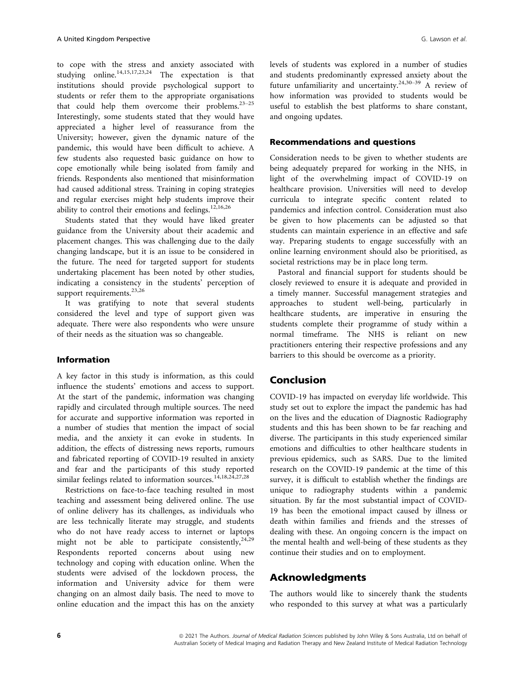to cope with the stress and anxiety associated with studying online.<sup>14,15,17,23,24</sup> The expectation is that institutions should provide psychological support to students or refer them to the appropriate organisations that could help them overcome their problems. $23-25$ Interestingly, some students stated that they would have appreciated a higher level of reassurance from the University; however, given the dynamic nature of the pandemic, this would have been difficult to achieve. A few students also requested basic guidance on how to cope emotionally while being isolated from family and friends. Respondents also mentioned that misinformation had caused additional stress. Training in coping strategies and regular exercises might help students improve their ability to control their emotions and feelings.<sup>12,16,26</sup>

Students stated that they would have liked greater guidance from the University about their academic and placement changes. This was challenging due to the daily changing landscape, but it is an issue to be considered in the future. The need for targeted support for students undertaking placement has been noted by other studies, indicating a consistency in the students' perception of support requirements.<sup>23,26</sup>

It was gratifying to note that several students considered the level and type of support given was adequate. There were also respondents who were unsure of their needs as the situation was so changeable.

### Information

A key factor in this study is information, as this could influence the students' emotions and access to support. At the start of the pandemic, information was changing rapidly and circulated through multiple sources. The need for accurate and supportive information was reported in a number of studies that mention the impact of social media, and the anxiety it can evoke in students. In addition, the effects of distressing news reports, rumours and fabricated reporting of COVID-19 resulted in anxiety and fear and the participants of this study reported similar feelings related to information sources.<sup>14,18,24</sup>,27,28

Restrictions on face-to-face teaching resulted in most teaching and assessment being delivered online. The use of online delivery has its challenges, as individuals who are less technically literate may struggle, and students who do not have ready access to internet or laptops might not be able to participate consistently,  $2^{4,29}$ Respondents reported concerns about using new technology and coping with education online. When the students were advised of the lockdown process, the information and University advice for them were changing on an almost daily basis. The need to move to online education and the impact this has on the anxiety levels of students was explored in a number of studies and students predominantly expressed anxiety about the future unfamiliarity and uncertainty.24,30–<sup>39</sup> A review of how information was provided to students would be useful to establish the best platforms to share constant, and ongoing updates.

#### Recommendations and questions

Consideration needs to be given to whether students are being adequately prepared for working in the NHS, in light of the overwhelming impact of COVID-19 on healthcare provision. Universities will need to develop curricula to integrate specific content related to pandemics and infection control. Consideration must also be given to how placements can be adjusted so that students can maintain experience in an effective and safe way. Preparing students to engage successfully with an online learning environment should also be prioritised, as societal restrictions may be in place long term.

Pastoral and financial support for students should be closely reviewed to ensure it is adequate and provided in a timely manner. Successful management strategies and approaches to student well-being, particularly in healthcare students, are imperative in ensuring the students complete their programme of study within a normal timeframe. The NHS is reliant on new practitioners entering their respective professions and any barriers to this should be overcome as a priority.

### Conclusion

COVID-19 has impacted on everyday life worldwide. This study set out to explore the impact the pandemic has had on the lives and the education of Diagnostic Radiography students and this has been shown to be far reaching and diverse. The participants in this study experienced similar emotions and difficulties to other healthcare students in previous epidemics, such as SARS. Due to the limited research on the COVID-19 pandemic at the time of this survey, it is difficult to establish whether the findings are unique to radiography students within a pandemic situation. By far the most substantial impact of COVID-19 has been the emotional impact caused by illness or death within families and friends and the stresses of dealing with these. An ongoing concern is the impact on the mental health and well-being of these students as they continue their studies and on to employment.

### Acknowledgments

The authors would like to sincerely thank the students who responded to this survey at what was a particularly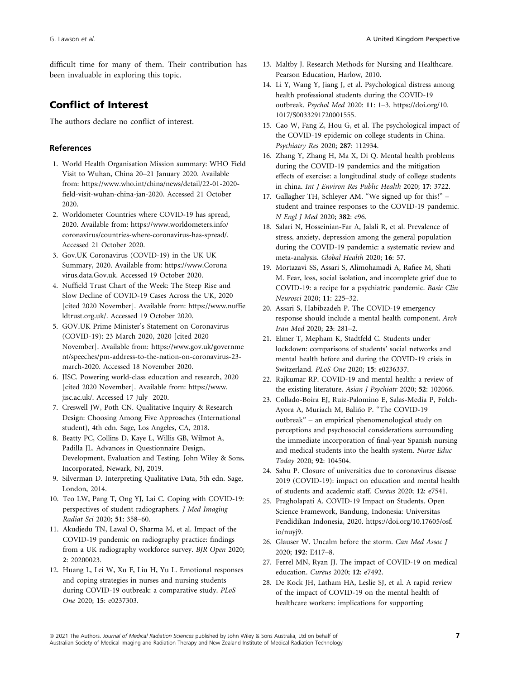difficult time for many of them. Their contribution has been invaluable in exploring this topic.

# Conflict of Interest

The authors declare no conflict of interest.

### References

- 1. World Health Organisation Mission summary: WHO Field Visit to Wuhan, China 20–21 January 2020. Available from: [https://www.who.int/china/news/detail/22-01-2020](https://www.who.int/china/news/detail/22%201001%20102020%2010field%2010visit%2010wuhan%2010china%2010jan%20102020.) [field-visit-wuhan-china-jan-2020.](https://www.who.int/china/news/detail/22%201001%20102020%2010field%2010visit%2010wuhan%2010china%2010jan%20102020.) Accessed 21 October 2020.
- 2. Worldometer Countries where COVID-19 has spread, 2020. Available from: [https://www.worldometers.info/](https://www.worldometers.info/coronavirus/countries%2010where%2010coronavirus%2010has%2010spread/.) [coronavirus/countries-where-coronavirus-has-spread/.](https://www.worldometers.info/coronavirus/countries%2010where%2010coronavirus%2010has%2010spread/.) Accessed 21 October 2020.
- 3. Gov.UK Coronavirus (COVID-19) in the UK UK Summary, 2020. Available from: [https://www.Corona](https://www.Coronavirus.data.Gov.uk) [virus.data.Gov.uk.](https://www.Coronavirus.data.Gov.uk) Accessed 19 October 2020.
- 4. Nuffield Trust Chart of the Week: The Steep Rise and Slow Decline of COVID-19 Cases Across the UK, 2020 [cited 2020 November]. Available from: [https://www.nuffie](https://www.nuffieldtrust.org.uk/.) [ldtrust.org.uk/.](https://www.nuffieldtrust.org.uk/.) Accessed 19 October 2020.
- 5. GOV.UK Prime Minister's Statement on Coronavirus (COVID-19): 23 March 2020, 2020 [cited 2020 November]. Available from: [https://www.gov.uk/governme](https://www.gov.uk/government/speeches/pm-address-to-the-nation-on-coronavirus-23-march-2020) [nt/speeches/pm-address-to-the-nation-on-coronavirus-23](https://www.gov.uk/government/speeches/pm-address-to-the-nation-on-coronavirus-23-march-2020) [march-2020.](https://www.gov.uk/government/speeches/pm-address-to-the-nation-on-coronavirus-23-march-2020) Accessed 18 November 2020.
- 6. JISC. Powering world-class education and research, 2020 [cited 2020 November]. Available from: [https://www.](https://www.jisc.ac.uk/) [jisc.ac.uk/](https://www.jisc.ac.uk/). Accessed 17 July 2020.
- 7. Creswell JW, Poth CN. Qualitative Inquiry & Research Design: Choosing Among Five Approaches (International student), 4th edn. Sage, Los Angeles, CA, 2018.
- 8. Beatty PC, Collins D, Kaye L, Willis GB, Wilmot A, Padilla JL. Advances in Questionnaire Design, Development, Evaluation and Testing. John Wiley & Sons, Incorporated, Newark, NJ, 2019.
- 9. Silverman D. Interpreting Qualitative Data, 5th edn. Sage, London, 2014.
- 10. Teo LW, Pang T, Ong YJ, Lai C. Coping with COVID-19: perspectives of student radiographers. J Med Imaging Radiat Sci 2020; 51: 358–60.
- 11. Akudjedu TN, Lawal O, Sharma M, et al. Impact of the COVID-19 pandemic on radiography practice: findings from a UK radiography workforce survey. BJR Open 2020; 2: 20200023.
- 12. Huang L, Lei W, Xu F, Liu H, Yu L. Emotional responses and coping strategies in nurses and nursing students during COVID-19 outbreak: a comparative study. PLoS One 2020; 15: e0237303.
- 13. Maltby J. Research Methods for Nursing and Healthcare. Pearson Education, Harlow, 2010.
- 14. Li Y, Wang Y, Jiang J, et al. Psychological distress among health professional students during the COVID-19 outbreak. Psychol Med 2020: 11: 1–3. [https://doi.org/10.](https://doi.org/10.1017/S0033291720001555) [1017/S0033291720001555](https://doi.org/10.1017/S0033291720001555).
- 15. Cao W, Fang Z, Hou G, et al. The psychological impact of the COVID-19 epidemic on college students in China. Psychiatry Res 2020; 287: 112934.
- 16. Zhang Y, Zhang H, Ma X, Di Q. Mental health problems during the COVID-19 pandemics and the mitigation effects of exercise: a longitudinal study of college students in china. Int J Environ Res Public Health 2020; 17: 3722.
- 17. Gallagher TH, Schleyer AM. "We signed up for this!" student and trainee responses to the COVID-19 pandemic. N Engl J Med 2020; 382: e96.
- 18. Salari N, Hosseinian-Far A, Jalali R, et al. Prevalence of stress, anxiety, depression among the general population during the COVID-19 pandemic: a systematic review and meta-analysis. Global Health 2020; 16: 57.
- 19. Mortazavi SS, Assari S, Alimohamadi A, Rafiee M, Shati M. Fear, loss, social isolation, and incomplete grief due to COVID-19: a recipe for a psychiatric pandemic. Basic Clin Neurosci 2020; 11: 225–32.
- 20. Assari S, Habibzadeh P. The COVID-19 emergency response should include a mental health component. Arch Iran Med 2020; 23: 281–2.
- 21. Elmer T, Mepham K, Stadtfeld C. Students under lockdown: comparisons of students' social networks and mental health before and during the COVID-19 crisis in Switzerland. PLoS One 2020; 15: e0236337.
- 22. Rajkumar RP. COVID-19 and mental health: a review of the existing literature. Asian J Psychiatr 2020; 52: 102066.
- 23. Collado-Boira EJ, Ruiz-Palomino E, Salas-Media P, Folch-Ayora A, Muriach M, Balino P. "The COVID-19 ~ outbreak" – an empirical phenomenological study on perceptions and psychosocial considerations surrounding the immediate incorporation of final-year Spanish nursing and medical students into the health system. Nurse Educ Today 2020; 92: 104504.
- 24. Sahu P. Closure of universities due to coronavirus disease 2019 (COVID-19): impact on education and mental health of students and academic staff. Cureus 2020; 12: e7541.
- 25. Pragholapati A. COVID-19 Impact on Students. Open Science Framework, Bandung, Indonesia: Universitas Pendidikan Indonesia, 2020. [https://doi.org/10.17605/osf.](https://doi.org/10.17605/osf.io/nuyj9) [io/nuyj9](https://doi.org/10.17605/osf.io/nuyj9).
- 26. Glauser W. Uncalm before the storm. Can Med Assoc J 2020; 192: E417–8.
- 27. Ferrel MN, Ryan JJ. The impact of COVID-19 on medical education. Cureus 2020; 12: e7492.
- 28. De Kock JH, Latham HA, Leslie SJ, et al. A rapid review of the impact of COVID-19 on the mental health of healthcare workers: implications for supporting